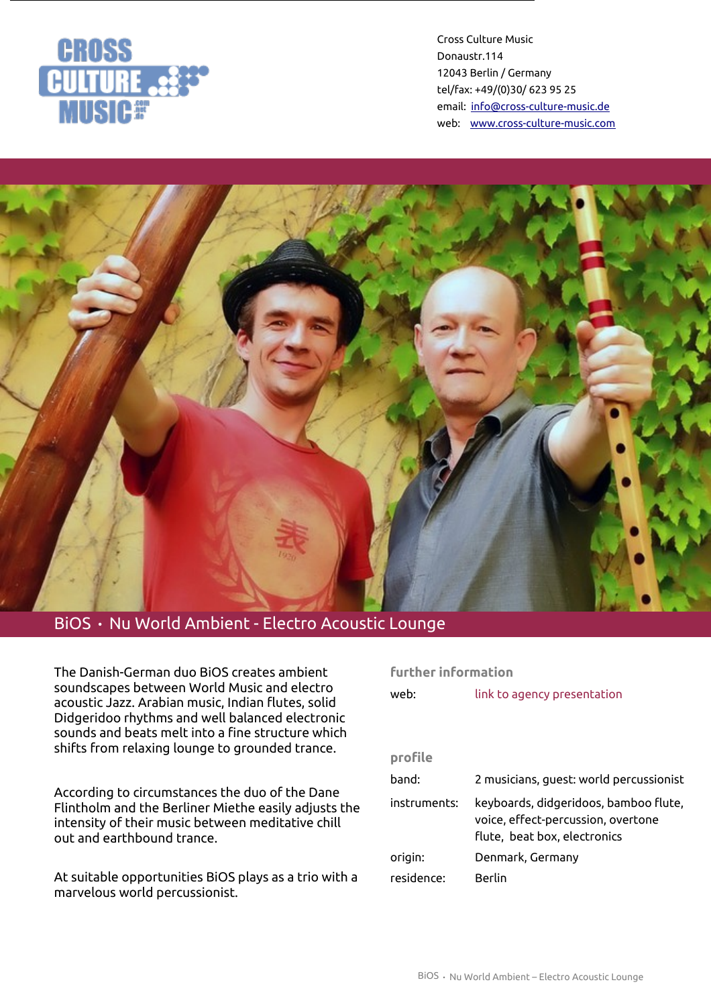

Cross Culture Music Donaustr.114 12043 Berlin / Germany tel/fax: +49/(0)30/ 623 95 25 email: [info@cross-culture-music.de](mailto:info@cross-culture-music.de) web: [www.cross-culture-music.com](http://cross-culture-music.com/)



# BiOS · Nu World Ambient - Electro Acoustic Lounge

The Danish-German duo BiOS creates ambient soundscapes between World Music and electro acoustic Jazz. Arabian music, Indian flutes, solid Didgeridoo rhythms and well balanced electronic sounds and beats melt into a fine structure which shifts from relaxing lounge to grounded trance.

According to circumstances the duo of the Dane Flintholm and the Berliner Miethe easily adjusts the intensity of their music between meditative chill out and earthbound trance.

At suitable opportunities BiOS plays as a trio with a marvelous world percussionist.

#### **further information**

| web:         | link to agency presentation                                                                                 |
|--------------|-------------------------------------------------------------------------------------------------------------|
|              |                                                                                                             |
|              |                                                                                                             |
| profile      |                                                                                                             |
| band:        | 2 musicians, quest: world percussionist                                                                     |
| instruments: | keyboards, didgeridoos, bamboo flute,<br>voice, effect-percussion, overtone<br>flute, beat box, electronics |
| origin:      | Denmark, Germany                                                                                            |
| residence:   | Berlin                                                                                                      |